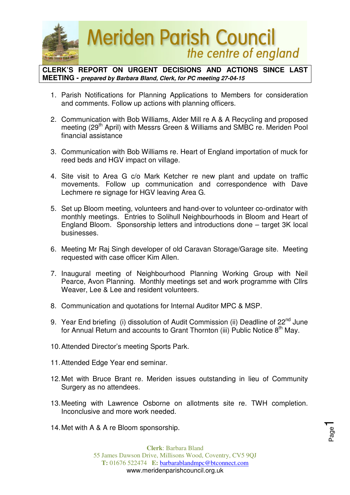

**CLERK'S REPORT ON URGENT DECISIONS AND ACTIONS SINCE LAST MEETING - prepared by Barbara Bland, Clerk, for PC meeting 27-04-15** 

- 1. Parish Notifications for Planning Applications to Members for consideration and comments. Follow up actions with planning officers.
- 2. Communication with Bob Williams, Alder Mill re A & A Recycling and proposed meeting (29<sup>th</sup> April) with Messrs Green & Williams and SMBC re. Meriden Pool financial assistance
- 3. Communication with Bob Williams re. Heart of England importation of muck for reed beds and HGV impact on village.
- 4. Site visit to Area G c/o Mark Ketcher re new plant and update on traffic movements. Follow up communication and correspondence with Dave Lechmere re signage for HGV leaving Area G.
- 5. Set up Bloom meeting, volunteers and hand-over to volunteer co-ordinator with monthly meetings. Entries to Solihull Neighbourhoods in Bloom and Heart of England Bloom. Sponsorship letters and introductions done – target 3K local businesses.
- 6. Meeting Mr Raj Singh developer of old Caravan Storage/Garage site. Meeting requested with case officer Kim Allen.
- 7. Inaugural meeting of Neighbourhood Planning Working Group with Neil Pearce, Avon Planning. Monthly meetings set and work programme with Cllrs Weaver, Lee & Lee and resident volunteers.
- 8. Communication and quotations for Internal Auditor MPC & MSP.
- 9. Year End briefing (i) dissolution of Audit Commission (ii) Deadline of 22<sup>nd</sup> June for Annual Return and accounts to Grant Thornton (iii) Public Notice 8<sup>th</sup> May.
- 10. Attended Director's meeting Sports Park.
- 11. Attended Edge Year end seminar.
- 12. Met with Bruce Brant re. Meriden issues outstanding in lieu of Community Surgery as no attendees.
- 13. Meeting with Lawrence Osborne on allotments site re. TWH completion. Inconclusive and more work needed.

Page1

14. Met with A & A re Bloom sponsorship.